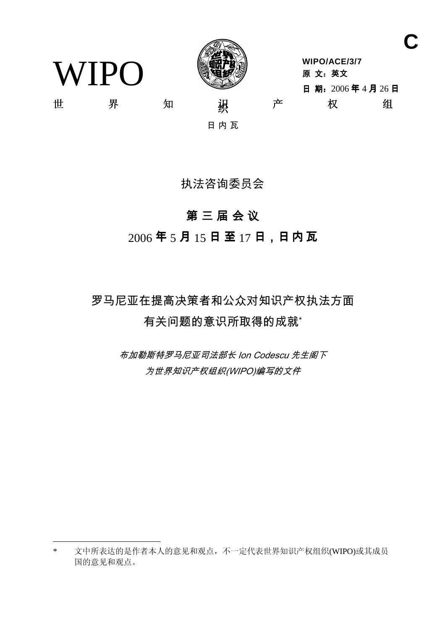

**WIPO/ACE/3/7** 原 文: 英文 日期: 2006年4月26日 Ϫ ⬠ ⶹ 㒛䆚 ѻ ᴗ 㒘

**C**

WIPO

日内瓦

执法咨询委员会

# 第三届会议

 $2006$ 年5月15日至17日,日内瓦

罗马尼亚在提高决策者和公众对知识产权执法方面 有关问题的意识所取得的成就

> 布加勒斯特罗马尼亚司法部长 Ion Codescu 先生阁下 为世界知识产权组织(WIPO)编写的文件

<sup>\*</sup> 文中所表达的是作者本人的意见和观点,不一定代表世界知识产权组织(WIPO)或其成员 国的意见和观点。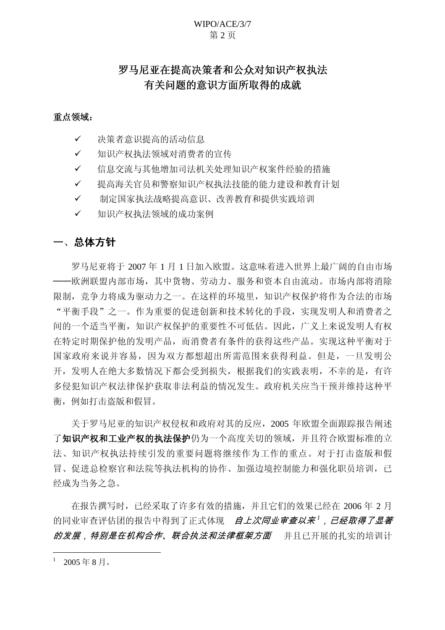#### WIPO/ACE/3/7 第2页

## 罗马尼亚在提高决策者和公众对知识产权执法 有关问题的意识方面所取得的成就

### 重点领域:

- ✔ 决策者意识提高的活动信息
- ✔ 知识产权执法领域对消费者的宣传
- ✔ 信息交流与其他增加司法机关处理知识产权案件经验的措施
- ✔ 提高海关官员和警察知识产权执法技能的能力建设和教育计划
- ✔ 制定国家执法战略提高意识、改善教育和提供实践培训
- ✔ 知识产权执法领域的成功案例

## 一、总体方针

罗马尼亚将于 2007年1月1日加入欧盟。这意味着讲入世界上最广阔的自由市场 ---欧洲联盟内部市场, 其中货物、劳动力、服务和资本自由流动。市场内部将消除 限制, 竞争力将成为驱动力之一。在这样的环境里, 知识产权保护将作为合法的市场 "平衡手段"之一。作为重要的促进创新和技术转化的手段,实现发明人和消费者之 间的一个适当平衡,知识产权保护的重要性不可低估。因此,广义上来说发明人有权 在特定时期保护他的发明产品,而消费者有条件的获得这些产品。实现这种平衡对于 国家政府来说并容易, 因为双方都想超出所需范围来获得利益。但是, 一旦发明公 开,发明人在绝大多数情况下都会受到损失,根据我们的实践表明,不幸的是,有许 多侵犯知识产权法律保护获取非法利益的情况发生。政府机关应当干预并维持这种平 衡, 例如打击盗版和假冒。

关于罗马尼亚的知识产权侵权和政府对其的反应, 2005 年欧盟全面跟踪报告阐述 了知识产权和工作保护仍为一个高度关切的领域,并且符合欧盟标准的立 法、知识产权执法持续引发的重要问题将继续作为工作的重点。对于打击盗版和假 冒、促进总检察官和法院等执法机构的协作、加强边境控制能力和强化职员培训,已 经成为当务之急。

在报告撰写时,已经采取了许多有效的措施,并且它们的效果已经在 2006年2月 的同业审查评估团的报告中得到了正式体现 *自上次同业审查以来<sup>1</sup>,已经取得了显著* 的发展, 特别是在机构合作、联合执法和法律框架方面 并且已开展的扎实的培训计

 $2005 \ncong 8 \nparallel$ 。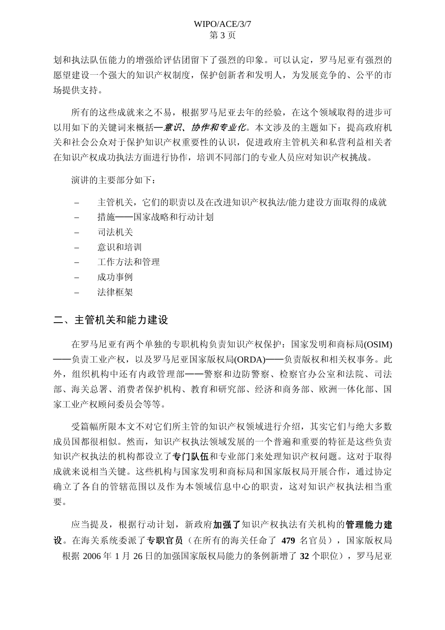划和执法队伍能力的增强给评估团留下了强烈的印象。可以认定,罗马尼亚有强烈的 愿望建设一个强大的知识产权制度, 保护创新者和发明人, 为发展竞争的、公平的市 场提供支持。

所有的这些成就来之不易, 根据罗马尼亚夫年的经验, 在这个领域取得的进步可 以用如下的关键词来概括一*意识、协作和专业化*。本文涉及的主题如下: 提高政府机 关和社会公众对于保护知识产权重要性的认识,促进政府主管机关和私营利益相关者 在知识产权成功执法方面进行协作, 培训不同部门的专业人员应对知识产权挑战。

演讲的主要部分如下:

- 主管机关,它们的职责以及在改进知识产权执法/能力建设方面取得的成就
- 措施——国家战略和行动计划
- 司法机关
- 意识和培训
- 工作方法和管理
- 成功事例
- 法律框架

## 二、主管机关和能力建设

在罗马尼亚有两个单独的专职机构负责知识产权保护: 国家发明和商标局(OSIM) 一负责工业产权, 以及罗马尼亚国家版权局(ORDA)——负责版权和相关权事务。此 外,组织机构中还有内政管理部——警察和边防警察、检察官办公室和法院、司法 部、海关总署、消费者保护机构、教育和研究部、经济和商务部、欧洲一体化部、国 家工业产权顾问委员会等等。

受篇幅所限本文不对它们所主管的知识产权领域进行介绍,其实它们与绝大多数 成员国都很相似。然而,知识产权执法领域发展的一个普遍和重要的特征是这些负责 知识产权执法的机构都设立了专门队伍和专业部门来处理知识产权问题。这对于取得 成就来说相当关键。这些机构与国家发明和商标局和国家版权局开展合作,通过协定 确立了各自的管辖范围以及作为本领域信息中心的职责,这对知识产权执法相当重 要。

应当提及,根据行动计划,新政府加强了知识产权执法有关机构的管理能力建 设。在海关系统委派了专职官员(在所有的海关任命了 479 名官员), 国家版权局 根据 2006年 1 月 26 日的加强国家版权局能力的条例新增了 32 个职位), 罗马尼亚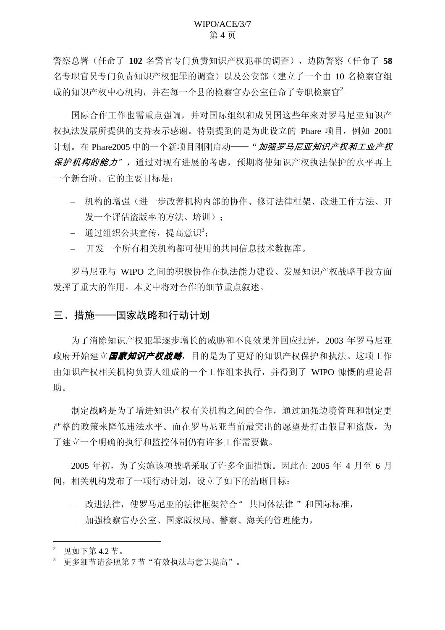警察总署(任命了102 名警官专门负责知识产权犯罪的调查), 边防警察(任命了58 名专职官员专门负责知识产权犯罪的调查)以及公安部(建立了一个由10名检察官组 成的知识产权中心机构,并在每一个县的检察官办公室任命了专职检察官<sup>2</sup>

国际合作工作也需重点强调,并对国际组织和成员国这些年来对罗马尼亚知识产 权执法发展所提供的支持表示感谢。特别提到的是为此设立的 Phare 项目, 例如 2001 计划。在 Phare2005 中的一个新项目刚刚启动——" 加强罗马尼亚知识产权和工业产权 保护机构的能力", 通过对现有进展的考虑, 预期将使知识产权执法保护的水平再上 一个新台阶。它的主要目标是:

- 机构的增强(进一步改善机构内部的协作、修订法律框架、改进工作方法、开 发一个评估盗版率的方法、培训):
- 通过组织公共宣传,提高意识3;
- 开发一个所有相关机构都可使用的共同信息技术数据库。

罗马尼亚与 WIPO 之间的积极协作在执法能力建设、发展知识产权战略手段方面 发挥了重大的作用。本文中将对合作的细节重点叙述。

## 三、措施——国家战略和行动计划

为了消除知识产权犯罪逐步增长的威胁和不良效果并回应批评, 2003 年罗马尼亚 政府开始建立*国家知识产权战略*,目的是为了更好的知识产权保护和执法。这项工作 由知识产权相关机构负责人组成的一个工作组来执行, 并得到了 WIPO 慷慨的理论帮 助。

制定战略是为了增进知识产权有关机构之间的合作,通过加强边境管理和制定更 严格的政策来降低违法水平。而在罗马尼亚当前最突出的愿望是打击假冒和盗版,为 了建立一个明确的执行和监控体制仍有许多工作需要做。

2005 年初, 为了实施该项战略采取了许多全面措施。因此在 2005 年 4 月至 6 月 间, 相关机构发布了一项行动计划, 设立了如下的清晰目标:

- 改进法律, 使罗马尼亚的法律框架符合"共同体法律"和国际标准,

- 加强检察官办公室、国家版权局、警察、海关的管理能力,

 $2$  见如下第 4.2 节。

更多细节请参照第7节"有效执法与意识提高"。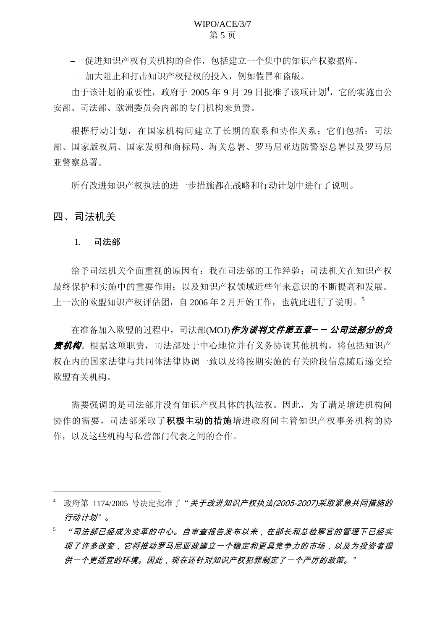- 促进知识产权有关机构的合作,包括建立一个集中的知识产权数据库,

- 加大阻止和打击知识产权侵权的投入, 例如假冒和盗版。

由于该计划的重要性, 政府于 2005年 9月 29 日批准了该项计划4, 它的实施由公 安部、司法部、欧洲委员会内部的专门机构来负责。

根据行动计划, 在国家机构间建立了长期的联系和协作关系: 它们包括: 司法 部、国家版权局、科希局、海关总署、罗马尼亚边防警察总署以及罗马尼 亚警察总署。

所有改进知识产权执法的进一步措施都在战略和行动计划中进行了说明。

#### 四、司法机关

#### 1. 司法部

给予司法机关全面重视的原因有:我在司法部的工作经验:司法机关在知识产权 最终保护和实施中的重要作用:以及知识产权领域近些年来意识的不断提高和发展。 上一次的欧盟知识产权评估团,自 2006 年 2 月开始工作,也就此进行了说明。<sup>5</sup>

在准备加入欧盟的过程中,司法部(MOJ)*作为谈判文件第五章—— 公司法部分的负* 责*机构*。根据这项职责,司法部处于中心地位并有义务协调其他机构,将包括知识产 权在内的国家法律与共同体法律协调一致以及将按期实施的有关阶段信息随后递交给 欧盟有关机构。

需要强调的是司法部并没有知识产权具体的执法权。因此,为了满足增进机构间 协作的需要, 司法部采取了**积极主动的措施**增进政府间主管知识产权事务机构的协 作, 以及这些机构与私营部门代表之间的合作。

<sup>4</sup> 政府第 1174/2005 号决定批准了"*关于改进知识产权执法(2005-2007)采取紧急共同措施的* 行动计划"。

<sup>&</sup>quot;*司法部已经成为变革的中心。自审查报告发布以来,在部长和总检察官的管理下已经实* 现了许多改变,它将推动罗马尼亚政建立一个稳定和更具竞争力的市场,以及为投资者提 供一个更适宜的环境。因此,现在还针对知识产权犯罪制定了一个严厉的政策。"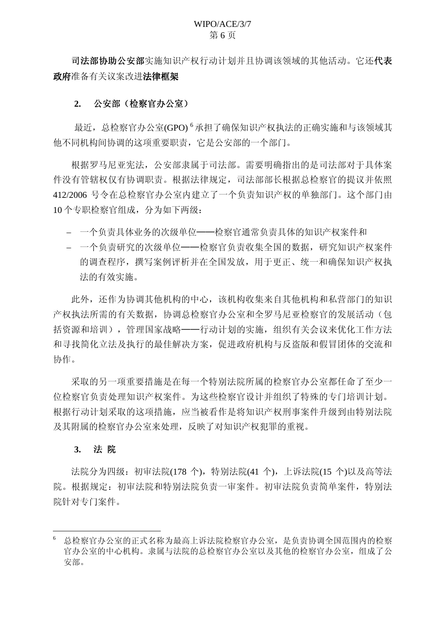司法部协助公安部实施知识产权行动计划并且协调该领域的其他活动。它还代表 政府准备有关议案改进法律框架

## 2. 公安部 ( 检察官办公室 )

最近, 总检察官办公室(GPO)<sup>6</sup>承担了确保知识产权执法的正确实施和与该领域其 他不同机构间协调的这项重要职责, 它是公安部的一个部门。

根据罗马尼亚宪法, 公安部隶属于司法部。需要明确指出的是司法部对于具体案 件没有管辖权仅有协调职责。根据法律规定, 司法部部长根据总检察官的提议并依照 412/2006 号令在总检察官办公室内建立了一个负责知识产权的单独部门。这个部门由 10 个专职检察官组成, 分为如下两级:

- 一个负责具体业务的次级单位——检察官通常负责具体的知识产权案件和
- 一个负责研究的次级单位 检察官负责收集全国的数据,研究知识产权案件 的调杳程序, 撰写案例评析并在全国发放, 用于更正、统一和确保知识产权执 法的有效实施。

此外, 还作为协调其他机构的中心, 该机构收集来自其他机构和私营部门的知识 产权执法所需的有关数据, 协调总检察官办公室和全罗马尼亚检察官的发展活动(包 括资源和培训), 管理国家战略——行动计划的实施, 组织有关会议来优化工作方法 和寻找简化立法及执行的最佳解决方案,促进政府机构与反盗版和假冒团体的交流和 协作。

采取的另一项重要措施是在每一个特别法院所属的检察官办公室都任命了至少一 位检察官负责处理知识产权案件。为这些检察官设计并组织了特殊的专门培训计划。 根据行动计划采取的这项措施, 应当被看作是将知识产权刑事案件升级到由特别法院 及其附属的检察官办公室来处理,反映了对知识产权犯罪的重视。

### 3. 法院

法院分为四级: 初审法院(178 个), 特别法院(41 个), 上诉法院(15 个)以及高等法 院。根据规定: 初审法院和特别法院负责一审案件。初审法院负责简单案件, 特别法 院针对专门案件。

<sup>6</sup> 总检察官办公室的正式名称为最高上诉法院检察官办公室,是负责协调全国范围内的检察 官办公室的中心机构。隶属与法院的总检察官办公室以及其他的检察官办公室,组成了公 安部。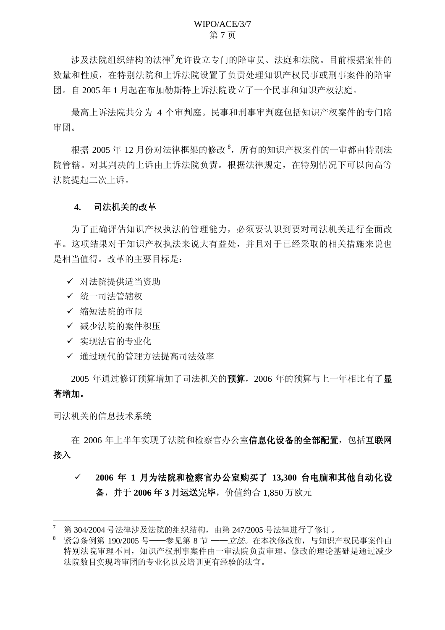### WIPO/ACE/3/7 第7页

涉及法院组织结构的法律<sup>7</sup>允许设立专门的陪审员、法庭和法院。目前根据案件的 数量和性质, 在特别法院和上诉法院设置了负责处理知识产权民事或刑事案件的陪审 团。自2005年1月起在布加勒斯特上诉法院设立了一个民事和知识产权法庭。

最高上诉法院共分为 4 个审判庭。民事和刑事审判庭包括知识产权案件的专门陪 审团。

根据 2005 年 12 月份对法律框架的修改<sup>8</sup>, 所有的知识产权案件的一审都由特别法 院管辖。对其判决的上诉由上诉法院负责。根据法律规定, 在特别情况下可以向高等 法院提起二次上诉。

#### 4. 司法机关的改革

为了正确评估知识产权执法的管理能力, 必须要认识到要对司法机关讲行全面改 革。这项结果对于知识产权执法来说大有益处,并且对于已经采取的相关措施来说也 是相当值得。改革的主要目标是:

- ✔ 对法院提供适当资助
- ✔ 统一司法管辖权
- ✔ 缩短法院的审限
- ✔ 减少法院的案件积压
- ✔ 实现法官的专业化
- ✔ 通过现代的管理方法提高司法效率

2005 年通过修订预算增加了司法机关的预算, 2006 年的预算与上一年相比有了显 著增加。

#### 司法机关的信息技术系统

在 2006 年上半年实现了法院和检察官办公室**信息化设备的全部配置**, 包括互联网 接入

## ✓ 2006年 1 月为法院和检察官办公室购买了 13,300 台电脑和其他自动化设 备, 并于2006年3月运送完毕, 价值约合 1,850 万欧元

第 304/2004 号法律涉及法院的组织结构, 由第 247/2005 号法律进行了修订。

<sup>8</sup> 紧急条例第 190/2005 号——参见第 8 节 ——*立法。*在本次修改前, 与知识产权民事案件由 特别法院审理不同, 知识产权刑事案件由一审法院负责审理。修改的理论基础是通过减少 法院数目实现陪审团的专业化以及培训更有经验的法官。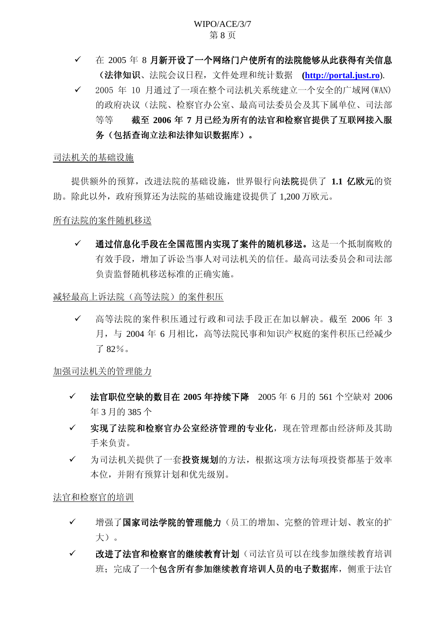- ✓ 在 2005 年 8 月新开设了一个网络门户使所有的法院能够从此获得有关信息 **(法律知识**、法院会议日程, 文件处理和统计数据 ([http://portal.just.ro](http://portal.just.ro/)).
- ✔ 2005 年 10 月通过了一项在整个司法机关系统建立一个安全的广域网(WAN) 的政府决议(法院、检察官办公室、最高司法委员会及其下属单位、司法部 等等 截至 2006 年 7 月已经为所有的法官和检察官提供了互联网接入服 务(包括杳询立法和法律知识数据库)。

#### 司法机关础设施

提供额外的预算,改进法院的基础设施,世界银行向法院提供了 1.1 亿欧元的资 助。除此以外,政府预算还为法院的基础设施建设提供了1.200 万欧元。

### 所有法院的案件随机移送

✓ 通过信息化手段在全国范围内实现了案件的随机移送。这是一个抵制腐败的 有效手段,增加了诉讼当事人对司法机关的信任。最高司法委员会和司法部 负责监督随机移送标准的正确实施。

#### 减轻最高上诉法院(高等法院)的案件积压

✔ 高等法院的案件积压通过行政和司法手段正在加以解决。截至 2006 年 3 月, 与 2004 年 6 月相比, 高等法院民事和知识产权庭的案件积压已经减少  $782%$ 

加强司法机关的管理能力

- ← 法官职位空缺的数目在 2005 年持续下降 2005 年 6 月的 561 个空缺对 2006  $#3$  月的 385 个
- √ 实现了法院和检察官办公室经济管理的专业化,现在管理都由经济师及其助 手来负责。
- ✔ 为司法机关提供了一套投资规划的方法,根据这项方法每项投资都基于效率 本位,并附有预算计划和优先级别。

法官和检察官的培训

- ✔ 增强了国家司法学院的管理能力(员工的增加、完整的管理计划、教室的扩 大)。
- ✔ 改进了法官和检察官的继续教育计划(司法官员可以在线参加继续教育培训 班: 完成了一个包含所有参加继续教育培训人员的电子数据库, 侧重于法官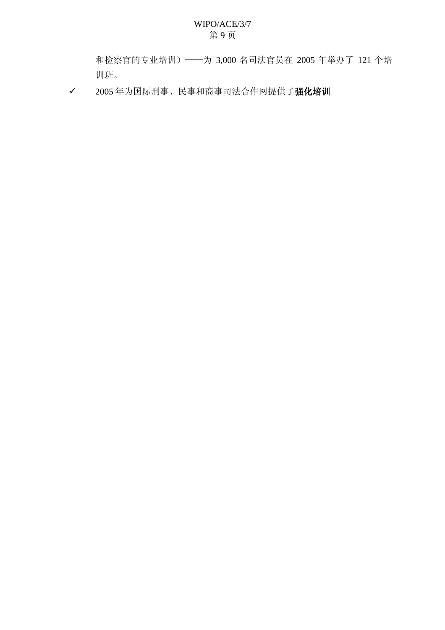## WIPO/ACE/3/7 第9页

和检察官的专业培训) ——为 3,000 名司法官员在 2005 年举办了 121 个培 训班。

√ 2005年为国际刑事、民事和商事司法合作网提供了强化培训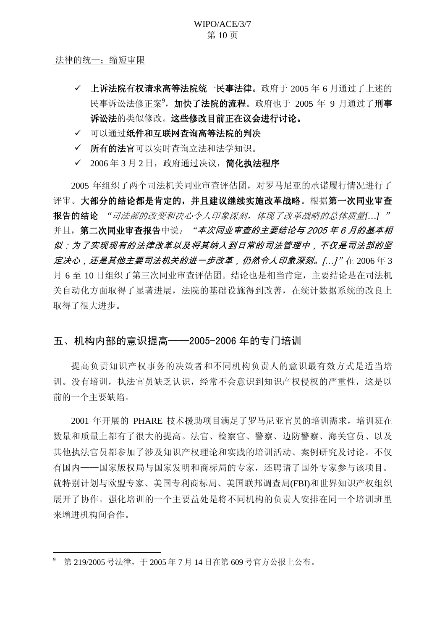法律的统一; 缩短审限

- ✓ 上诉法院有权请求高等法院统一民事法律。政府于 2005 年 6 月通过了上述的 民事诉讼法修正案<sup>9</sup>, 加快了法院的流程。政府也于 2005 年 9 月通过了刑事 诉讼法的类似修改。这些修改目前正在议会进行讨论。
- √ 可以通过纸件和互联网查询高等法院的判决
- √ 所有的法官可以实时杳询立法和法学知识。
- √ 2006年3月2日, 政府通过决议, 简化执法程序

2005 年组织了两个司法机关同业审查评估团, 对罗马尼亚的承诺履行情况进行了 评审。大部分的结论都是肯定的,并且建议继续实施改革战略。根据第一次同业审查 报告的结论 "司法部的改变和决心令人印象深刻, 体现了改革战略的总体质量[...] " 并且, 第二次同业审查次后业审查的主要结论与2005年6月的基本相 似:为了实现现有的法律改革以及将其纳入到日常的司法管理中,不仅是司法部的坚 定决心,还是其他主要司法机关的进一步改革,仍然令人印象深刻。[...]" 在 2006年3 月 6 至 10 日组织了第三次同业审查评估团。结论也是相当肯定, 主要结论是在司法机 关自动化方面取得了显著进展, 法院的基础设施得到改善, 在统计数据系统的改良上 取得了很大进步。

## 五、机构内部的意识提高——2005-2006 年的专门培训

提高负责知识产权事务的决策者和不同机构负责人的意识最有效方式是适当培 训。没有培训, 执法官员缺乏认识, 经常不会意识到知识产权侵权的严重性, 这是以 前的一个主要缺陷。

2001 年开展的 PHARE 技术援助项目满足了罗马尼亚官员的培训需求, 培训班在 数量和质量上都有了很大的提高。法官、检察官、警察、边防警察、海关官员、以及 其他执法官员都参加了涉及知识产权理论和实践的培训活动、案例研究及讨论。不仅 有国内——国家版权局与国家发明和商标局的专家,还聘请了国外专家参与该项目。 就特别计划与欧盟专家、美国专利商标局、美国联邦调查局(FBI)和世界知识产权组织 展开了协作。强化培训的一个主要益处是将不同机构的负责人安排在同一个培训班里 来增进机构间合作。

第 219/2005 号法律, 干 2005 年 7 月 14 日在第 609 号官方公报上公布。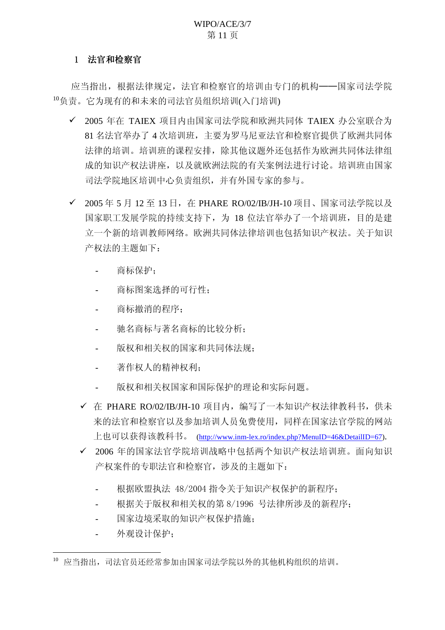## Ⅰ 法官和检察官

应当指出,根据法律规定,法官和检察官的培训由专门的机构——国家司法学院  $^{10}$ 负责。它为现有的和未来的司法官员组织培训(入门培训)

- ✔ 2005 年在 TAIEX 项目内由国家司法学院和欧洲共同体 TAIEX 办公室联合为 81 名法官举办了 4 次培训班, 主要为罗马尼亚法官和检察官提供了欧洲共同体 法律的培训。培训班的课程安排, 除其他议题外还包括作为欧洲共同体法律组 成的知识产权法讲座,以及就欧洲法院的有关案例法进行讨论。培训班由国家 司法学院地区培训中心负责组织,并有外国专家的参与。
- ✔ 2005 年 5 月 12 至 13 日, 在 PHARE RO/02/IB/JH-10 项目、国家司法学院以及 国家职工发展学院的持续支持下,为 18 位法官举办了一个培训班,目的是建 立一个新的培训教师网络。欧洲共同体法律培训也包括知识产权法。关于知识 产权法的主题如下:
	- 商标保护:
	- 商标图案选择的可行性:
	- 商标撤消的程序:
	- 驰名商标与著名商标的比较分析;
	- 版权和相关权的国家和共同体法规:
	- 著作权人的精神权利:
	- 版权和相关权国家和国际保护的理论和实际问题。
	- √ 在 PHARE RO/02/IB/JH-10 项目内, 编写了一本知识产权法律教科书, 供未 来的法官和检察官以及参加培训人员免费使用, 同样在国家法官学院的网站 上也可以获得该教科书。 [\(http://www.inm-lex.ro/index.php?MenuID=46&DetailID=67\)](http://www.inm-lex.ro/index.php?MenuID=46&DetailID=67).
	- ✔ 2006 年的国家法官学院培训战略中包括两个知识产权法培训班。面向知识 产权案件的专职法官和检察官, 涉及的主题如下:
		- 根据欧盟执法 48/2004 指令关于知识产权保护的新程序:
		- 根据关于版权和相关权的第8/1996 号法律所涉及的新程序:
		- 国家边境采取的知识产权保护措施:
		- 外观设计保护:

<sup>10</sup> 应当指出, 司法官员还经常参加由国家司法学院以外的其他机构组织的培训。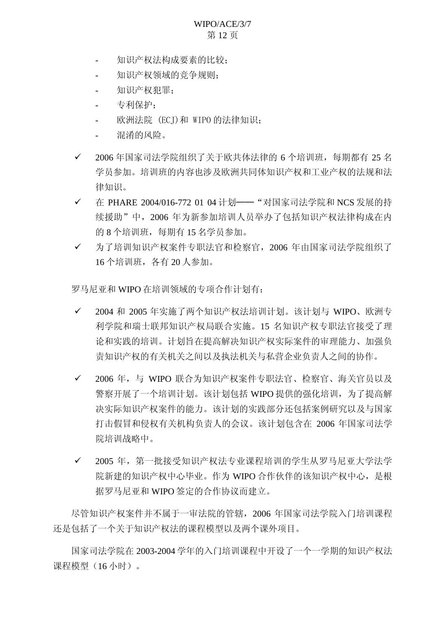## WIPO/ACE/3/7 第12页

- 知识产权法构成要素的比较:
- 知识产权领域的竞争规则:
- 知识产权犯罪:
- 专利保护:
- 欧洲法院 (ECJ)和 WIPO 的法律知识:
- 混淆的风险。
- ✔ 2006年国家司法学院组织了关于欧共体法律的 6 个培训班, 每期都有 25 名 学员参加。培训班的内容也涉及欧洲共同体知识产权和工业产权的法规和法 律知识。
- √ 在 PHARE 2004/016-772 01 04 计划 -- "对国家司法学院和 NCS 发展的持 续援助"中, 2006年为新参加培训人员举办了包括知识产权法律构成在内 的 8 个培训班, 每期有 15 名学员参加。
- ✔ 为了培训知识产权案件专职法官和检察官, 2006 年由国家司法学院组织了 16个培训班, 各有 20 人参加。

罗马尼亚和 WIPO 在培训领域的专项合作计划有:

- ✔ 2004 和 2005 年实施了两个知识产权法培训计划。该计划与 WIPO、欧洲专 利学院和瑞士联邦知识产权局联合实施。15 名知识产权专职法官接受了理 论和实践的培训。计划旨在提高解决知识产权实际案件的审理能力、加强负 壹知识产权的有关机关之间以及执法机关与私营企业负责人之间的协作。
- ✔ 2006 年, 与 WIPO 联合为知识产权案件专职法官、检察官、海关官员以及 警察开展了一个培训计划。该计划包括 WIPO 提供的强化培训, 为了提高解 决实际知识产权案件的能力。该计划的实践部分还包括案例研究以及与国家 打击假冒和侵权有关机构负责人的会议。该计划包含在 2006 年国家司法学 院培训战略中。
- ✔ 2005 年,第一批接受知识产权法专业课程培训的学生从罗马尼亚大学法学 院新建的知识产权中心毕业。作为 WIPO 合作伙伴的该知识产权中心, 是根 据罗马尼亚和 WIPO 签定的合作协议而建立。

尽管知识产权案件并不属于一审法院的管辖, 2006 年国家司法学院入门培训课程 还是包括了一个关于知识产权法的课程模型以及两个课外项目。

国家司法学院在 2003-2004 学年的入门培训课程中开设了一个一学期的知识产权法 课程模型 (16 小时)。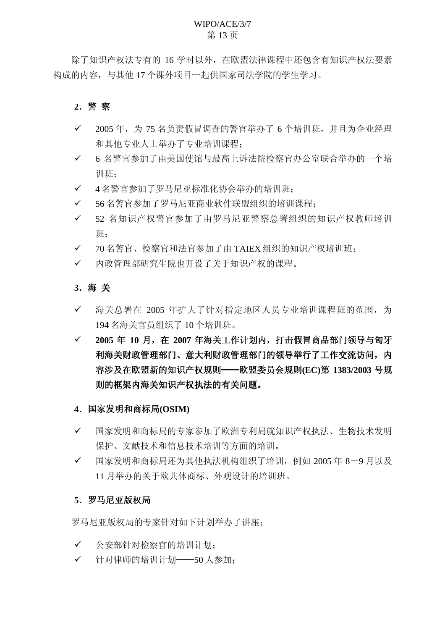## WIPO/ACE/3/7 第13页

除了知识产权法专有的16 学时以外, 在欧盟法律课程中还包含有知识产权法要素 构成的内容, 与其他 17 个课外项目一起供国家司法学院的学生学习。

## **2**ˊ䄺 ᆳ

- √ 2005年, 为 75 名负责假冒调查的警官举办了 6 个培训班, 并且为企业经理 和其他专业人士举办了专业培训课程:
- ✔ 6 名警官参加了由美国使馆与最高上诉法院检察官办公室联合举办的一个培 训班:
- √ 4名警官参加了罗马尼亚标准化协会举办的培训班:
- √ 56名警官参加了罗马尼亚商业软件联盟组织的培训课程:
- ✓ 52 名知识产权警官参加了由罗马尼亚警察总署组织的知识产权教师培训 班:
- ✔ 70名警官、检察官和法官参加了由 TAIEX 组织的知识产权培训班;
- ✔ 内政管理部研究生院也开设了关于知识产权的课程。

## **3**ˊ⍋ ݇

- ✓ 海关总署在 2005 年扩大了针对指定地区人员专业培训课程班的范围, 为 194 名海关官员组织了 10 个培训班。
- **✓ 2005年10月, 在2007年海关工作计划内, 打击假冒商品部门领导与匈牙** 利海关财政管理部门的领导举行了工作交流访问, 内 容涉及在欧盟新的知识产权规则 -- 欧盟委员会规则(EC)第 1383/2003 号规 则的框架内海关知识产权执法的有关问题。

### 4. 国家发明和商标局(OSIM)

- ✔ 国家发明和商标局的专家参加了欧洲专利局就知识产权执法、生物技术发明 保护、文献技术和信息技术培训等方面的培训。
- ✓ 国家发明和商标局还为其他执法机构组织了培训, 例如 2005 年 8-9 月以及 11 月举办的关于欧共体商标、外观设计的培训班。

### 5. 罗马尼亚版权局

罗马尼亚版权局的专家针对如下计划举办了讲座:

- ✔ 公安部针对检察官的培训计划:
- ✔ 针对律师的培训计划 --50 人参加: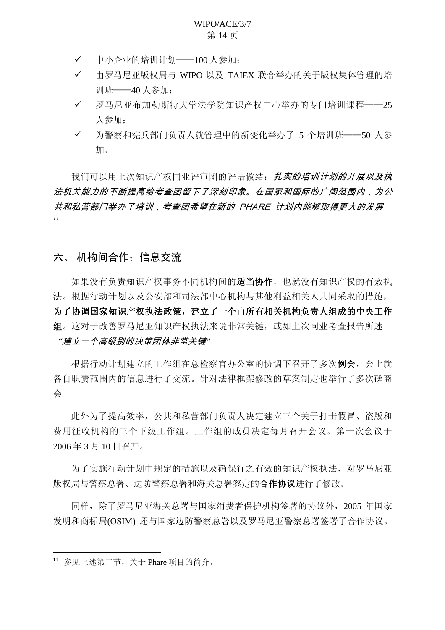- ✔ 中小企业的培训计划 -- 100 人参加;
- ✔ 由罗马尼亚版权局与 WIPO 以及 TAIEX 联合举办的关于版权集体管理的培 训班——40 人参加:
- ✔ 罗马尼亚布加勒斯特大学法学院知识产权中心举办的专门培训课程 --25 人参加:
- ✓ 为警察和宪兵部门负责人就管理中的新变化举办了 5 个培训班——50 人参 加。

我们可以用上次知识产权同业评审团的评语做结: *扎实的培训计划的开展以及执* 法机关能力的不断提高给考查团留下了深刻印象。在国家和国际的广阔范围内,为公 共和私营部门举办了培训,考查团希望在新的 PHARE 计划内能够取得更大的发展 *11*

## 六、 机构间合作: 信息交流

如果没有负责知识产权事务不同机构间的**适当协作**, 也就没有知识产权的有效执 法。根据行动计划以及公安部和司法部中心机构与其他利益相关人共同采取的措施, 为了协调国家知识产权执法政策, 建立了一个由所有相关机构负责人组成的中央工作 组。这对于改善罗马尼亚知识产权执法来说非常关键, 或如上次同业考杳报告所述

## "*建立一个高级别的决策团体非常关键*"

根据行动计划建立的工作组在总检察官办公室的协调下召开了多次**例会**, 会上就 各自职责范围内的信息进行了交流。针对法律框架修改的草案制定也举行了多次磋商  $\Leftrightarrow$ 

此外为了提高效率,公共和私营部门负责人决定建立三个关于打击假冒、盗版和 费用征收机构的三个下级工作组。工作组的成员决定每月召开会议。第一次会议于 2006年3月10日召开。

为了实施行动计划中规定的措施以及确保行之有效的知识产权执法,对罗马尼亚 版权局与警察总署、边防警察总署和海关总署签定的合作协议进行了修改。

同样, 除了罗马尼亚海关总署与国家消费者保护机构签署的协议外, 2005 年国家 发明和商标局(OSIM) 还与国家边防警察总署以及罗马尼亚警察总署签署了合作协议。

<sup>11</sup> 参见上述第二节, 关于 Phare 项目的简介。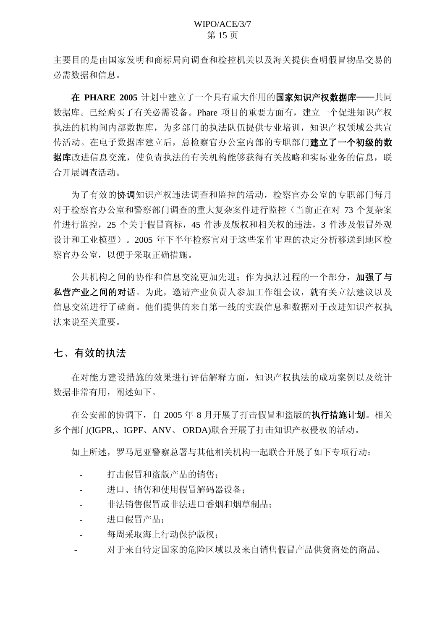主要目的是由国家发明和商标局向调查和检控机关以及海关提供查明假冒物品交易的 必需数据和信息。

在 PHARE 2005 计划中建立了一个具有重大作用的**国家知识产权数据库——**共同 数据库。已经购买了有关必需设备。Phare 项目的重要方面有, 建立一个促进知识产权 执法的机构间内部数据库,为多部门的执法队伍提供专业培训,知识产权领域公共官 传活动。在电子数据库建立后, 总检察官办公室内部的专职部门建立了一个初级的数 据库改进信息交流, 使负责执法的有关机构能够获得有关战略和实际业务的信息, 联 合开展调查活动。

为了有效的协调知识产权违法调查和监控的活动,检察官办公室的专职部门每月 对于检察官办公室和警察部门调查的重大复杂案件进行监控(当前正在对 73 个复杂案 件进行监控, 25 个关于假冒商标, 45 件涉及版权和相关权的违法, 3 件涉及假冒外观 设计和工业模型)。2005年下半年检察官对于这些案件审理的决定分析移送到地区检 察官办公室, 以便于采取正确措施。

公共机构之间的协作和信息交流更加先进: 作为执法过程的一个部分, 加强了与 私营产业之间的对话。为此, 激请产业负责人参加工作组会议, 就有关立法建议以及 信息交流进行了磋商。他们提供的来自第一线的实践信息和数据对于改进知识产权执 法来说至美重要。

## 七、有效的执法

在对能力建设措施的效果进行评估解释方面, 知识产权执法的成功案例以及统计 数据非常有用, 阐述如下。

在公安部的协调下, 自 2005 年 8 月开展了打击假冒和盗版的**执行措施计划**。相关 多个部门(IGPR.、IGPF、ANV、ORDA)联合开展了打击知识产权侵权的活动。

如上所述,罗马尼亚警察总署与其他相关机构一起联合开展了如下专项行动:

- 打击假冒和盗版产品的销售:
- 进口、销售和使用假冒解码器设备:
- 非法销售假冒或非法讲口香烟和烟草制品:
- 进口假冒产品:
- 每周采取海上行动保护版权;
- 对于来自特定国家的危险区域以及来自销售假冒产品供货商处的商品。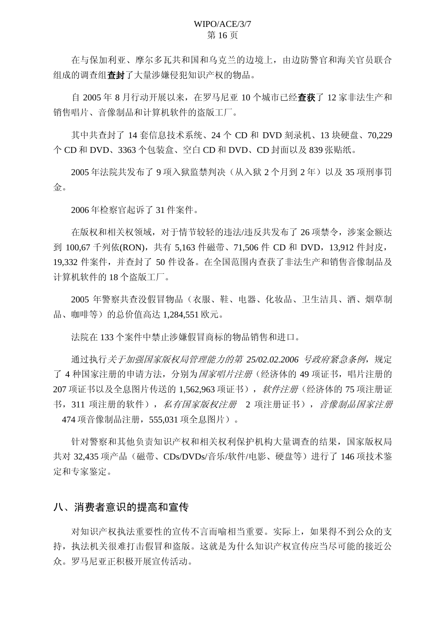在与保加利亚、摩尔多瓦共和国和乌克兰的边境上,由边防警官和海关官员联合 组成的调查组查封了大量涉嫌侵犯知识产权的物品。

自 2005 年 8 月行动开展以来, 在罗马尼亚 10 个城市已经查获了 12 家非法生产和 销售唱片、音像制品和计算机软件的盗版工厂。

其中共杳封了 14 套信息技术系统、24 个 CD 和 DVD 刻录机、13 块硬盘、70.229 个 CD 和 DVD、3363 个包装盒、空白 CD 和 DVD、CD 封面以及 839 张贴纸。

2005年法院共发布了9项入狱监禁判决(从入狱2个月到2年)以及35 项刑事罚 金。

2006年检察官起诉了 31 件案件。

在版权和相关权领域, 对于情节较轻的违法/违反共发布了 26 项禁令, 涉案金额达 到 100.67 千列依(RON), 共有 5.163 件磁带、71.506 件 CD 和 DVD, 13.912 件封皮, 19,332 件案件, 并查封了 50 件设备。在全国范围内查获了非法生产和销售音像制品及 计算机软件的 18 个盗版工厂。

2005 年警察共杳没假冒物品(衣服、鞋、电器、化妆品、卫生洁具、酒、烟草制 品、咖啡等)的总价值高达 1,284,551 欧元。

法院在 133 个案件中禁止涉嫌假冒商标的物品销售和进口。

通过执行*关于加强国家版权局管理能力的第 25/02.02.2006 号政府紧急条例*, 规定 了 4 种国家注册的申请方法, 分别为*国家唱片注册*(经济体的 49 项证书, 唱片注册的 207 项证书以及全息图片传送的 1.562.963 项证书), 软件注册(经济体的 75 项注册证 书, 311 项注册的软件), *私有国家版权注册* 2 项注册证书), *音像制品国家注册* 474 项音像制品注册, 555,031 项全息图片)。

针对警察和其他负责知识产权和相关权利保护机构大量调查的结果, 国家版权局 共对 32.435 项产品 (磁带、CDs/DVDs/音乐/软件/电影、硬盘等) 讲行了 146 项技术鉴 定和专家鉴定。

## 八、消费者意识的提高和宣传

对知识产权执法重要性的宣传不言而喻相当重要。实际上, 如果得不到公众的支 持, 执法机关很难打击假冒和盗版。这就是为什么知识产权宣传应当尽可能的接近公 众。罗马尼亚正积极开展宣传活动。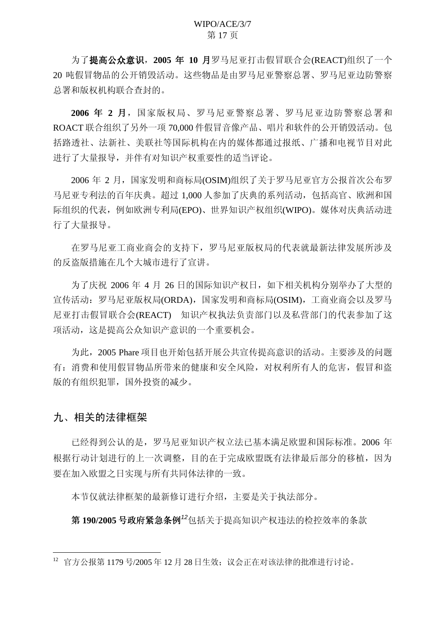为了提高公众意识, 2005 年 10 月罗马尼亚打击假冒联合会(REACT)组织了一个 20 吨假冒物品的公开销毁活动。这些物品是由罗马尼亚警察总署、罗马尼亚边防警察 总署和版权机构联合查封的。

2006 年 2 月, 国家版权局、罗马尼亚警察总署、罗马尼亚边防警察总署和 ROACT 联合组织了另外一项 70,000 件假冒音像产品、唱片和软件的公开销毁活动。包 括路透社、法新社、美联社等国际机构在内的媒体都通过报纸、广播和电视节目对此 进行了大量报导,并伴有对知识产权重要性的适当评论。

2006 年 2 月, 国家发明和商标局(OSIM)组织了关于罗马尼亚官方公报首次公布罗 马尼亚专利法的百年庆典。超过 1,000 人参加了庆典的系列活动,包括高官、欧洲和国 际组织的代表, 例如欧洲专利局(EPO)、世界知识产权组织(WIPO)。媒体对庆典活动进 行了大量报导。

在罗马尼亚工商业商会的支持下,罗马尼亚版权局的代表就最新法律发展所涉及 的反盗版措施在几个大城市进行了宣讲。

为了庆祝 2006 年 4 月 26 日的国际知识产权日, 如下相关机构分别举办了大型的 宣传活动: 罗马尼亚版权局(ORDA), 国家发明和商标局(OSIM), 工商业商会以及罗马 尼亚打击假冒联合会(REACT) 知识产权执法负责部门以及私营部门的代表参加了这 项活动, 这是提高公众知识产意识的一个重要机会。

为此, 2005 Phare 项目也开始包括开展公共宣传提高意识的活动。主要涉及的问题 右: 消费和使用假冒物品所带来的健康和安全风险, 对权利所有人的危害, 假冒和盗 版的有组织犯罪, 国外投资的减少。

## 九、相关的法律框架

已经得到公认的是, 罗马尼亚知识产权立法已基本满足欧盟和国际标准。2006 年 根据行动计划进行的上一次调整,目的在于完成欧盟既有法律最后部分的移植,因为 要在加入欧盟之日实现与所有共同体法律的一致。

本节仅就法律框架的最新修订进行介绍, 主要是关于执法部分。

第190/2005 号政府紧急条例<sup>12</sup>包括关于提高知识产权违法的检控效率的条款

 $12$  官方公报第 1179 号/2005 年 12 月 28 日生效; 议会正在对该法律的批准进行讨论。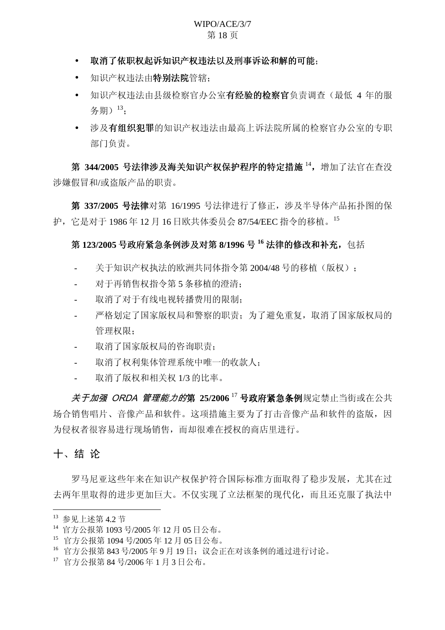#### WIPO/ACE/3/7 第18页

- 取消了依职权起诉知识产权违法以及刑事诉讼和解的可能:
- 知识产权违法由特别法院管辖:
- 知识产权违法由具级检察官办公室有经验的检察官负责调查(最低 4 年的服 务期) <sup>13</sup>;
- 涉及**有组织犯罪**的知识产权违法由最高上诉法院所属的检察官办公室的专职 部门负责。

第 344/2005 号法律涉及海关知识产权保护程序的特定措施<sup>14</sup>,增加了法官在查没 涉嫌假冒和/或盗版产品的职责。

第 337/2005 号法律对第 16/1995 号法律进行了修正, 涉及半导体产品拓扑图的保 护, 它是对于 1986年 12 月 16 日欧共体委员会 87/54/EEC 指令的移植。<sup>15</sup>

## 第123/2005 号政府紧急条例涉及对第8/1996 号<sup>16</sup> 法律的修改和补充, 包括

- 关于知识产权执法的欧洲共同体指令第 2004/48 号的移植 (版权):
- 对于再销售权指令第5条移植的澄清:
- 取消了对于有线电视转播费用的限制:
- 严格划定了国家版权局和警察的职责; 为了避免重复, 取消了国家版权局的 管理权限:
- 取消了国家版权局的咨询职责;
- 取消了权利集体管理系统中唯一的收款人;
- 取消了版权和相关权 1/3 的比率。

<del>美子加强 ORDA 管理能力的第 25/2006 <sup>17</sup> 号政府紧急条例规定禁止当街或在公共</del> 场合销售唱片、音像产品和软件。这项措施主要为了打击音像产品和软件的盗版,因 为侵权者很容易进行现场销售,而却很难在授权的商店里进行。

## 十、结论

罗马尼亚这些年来在知识产权保护符合国际标准方面取得了稳步发展,尤其在过 去两年里取得的进步更加巨大。不仅实现了立法框架的现代化,而且还克服了执法中

<sup>13</sup> 参见上述第 4.2 节

<sup>14</sup> 官方公报第 1093 号/2005 年 12 月 05 日公布。

<sup>15</sup> 官方公报第 1094 号/2005 年 12 月 05 日公布。

 $^{16}$  官方公报第 843 号/2005年 9月 19日; 议会正在对该条例的通过进行讨论。

 $17$  官方公报第 84 号/2006年1月3日公布。